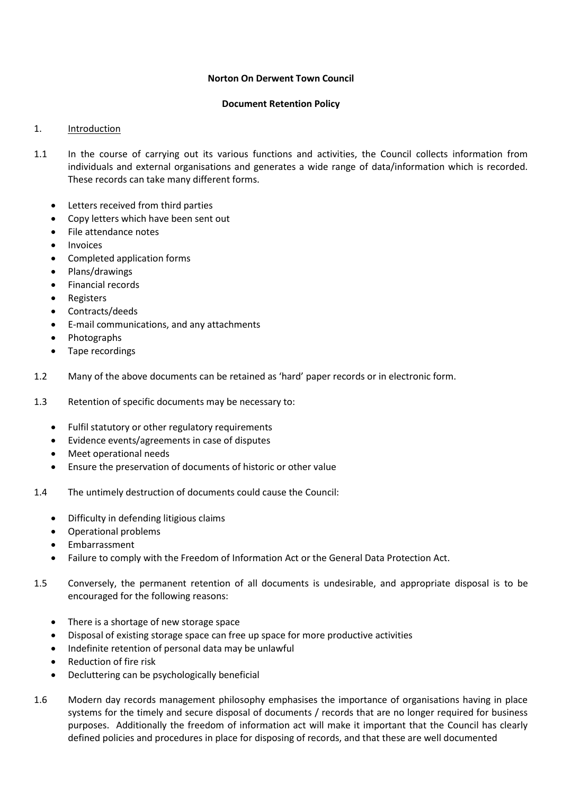### **Norton On Derwent Town Council**

### **Document Retention Policy**

# 1. Introduction

- 1.1 In the course of carrying out its various functions and activities, the Council collects information from individuals and external organisations and generates a wide range of data/information which is recorded. These records can take many different forms.
	- Letters received from third parties
	- Copy letters which have been sent out
	- File attendance notes
	- Invoices
	- Completed application forms
	- Plans/drawings
	- Financial records
	- Registers
	- Contracts/deeds
	- E-mail communications, and any attachments
	- Photographs
	- Tape recordings
- 1.2 Many of the above documents can be retained as 'hard' paper records or in electronic form.
- 1.3 Retention of specific documents may be necessary to:
	- Fulfil statutory or other regulatory requirements
	- Evidence events/agreements in case of disputes
	- Meet operational needs
	- Ensure the preservation of documents of historic or other value
- 1.4 The untimely destruction of documents could cause the Council:
	- Difficulty in defending litigious claims
	- Operational problems
	- Embarrassment
	- Failure to comply with the Freedom of Information Act or the General Data Protection Act.
- 1.5 Conversely, the permanent retention of all documents is undesirable, and appropriate disposal is to be encouraged for the following reasons:
	- There is a shortage of new storage space
	- Disposal of existing storage space can free up space for more productive activities
	- Indefinite retention of personal data may be unlawful
	- Reduction of fire risk
	- Decluttering can be psychologically beneficial
- 1.6 Modern day records management philosophy emphasises the importance of organisations having in place systems for the timely and secure disposal of documents / records that are no longer required for business purposes. Additionally the freedom of information act will make it important that the Council has clearly defined policies and procedures in place for disposing of records, and that these are well documented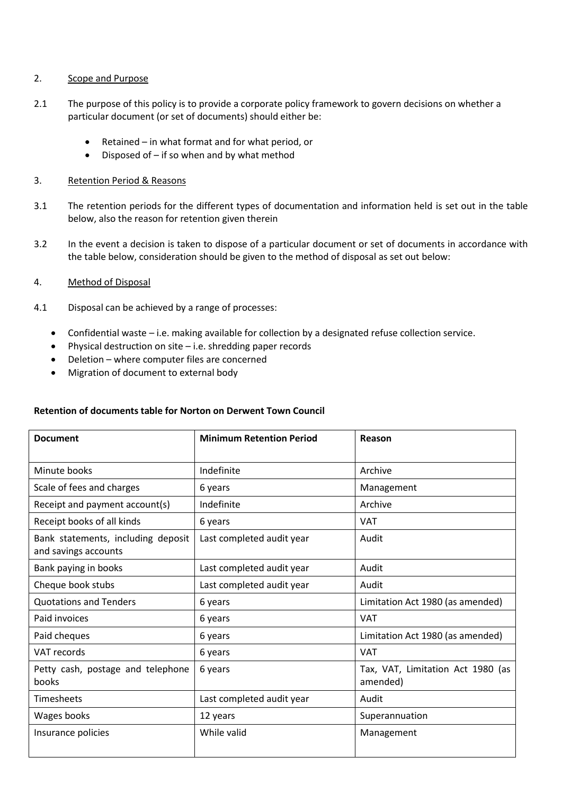### 2. Scope and Purpose

- 2.1 The purpose of this policy is to provide a corporate policy framework to govern decisions on whether a particular document (or set of documents) should either be:
	- $\bullet$  Retained in what format and for what period, or
	- $\bullet$  Disposed of if so when and by what method
- 3. Retention Period & Reasons
- 3.1 The retention periods for the different types of documentation and information held is set out in the table below, also the reason for retention given therein
- 3.2 In the event a decision is taken to dispose of a particular document or set of documents in accordance with the table below, consideration should be given to the method of disposal as set out below:

## 4. Method of Disposal

- 4.1 Disposal can be achieved by a range of processes:
	- Confidential waste i.e. making available for collection by a designated refuse collection service.
	- Physical destruction on site  $-$  i.e. shredding paper records
	- Deletion where computer files are concerned
	- Migration of document to external body

#### **Retention of documents table for Norton on Derwent Town Council**

| <b>Document</b>                                            | <b>Minimum Retention Period</b> | Reason                                        |
|------------------------------------------------------------|---------------------------------|-----------------------------------------------|
| Minute books                                               | Indefinite                      | Archive                                       |
| Scale of fees and charges                                  | 6 years                         | Management                                    |
| Receipt and payment account(s)                             | Indefinite                      | Archive                                       |
| Receipt books of all kinds                                 | 6 years                         | <b>VAT</b>                                    |
| Bank statements, including deposit<br>and savings accounts | Last completed audit year       | Audit                                         |
| Bank paying in books                                       | Last completed audit year       | Audit                                         |
| Cheque book stubs                                          | Last completed audit year       | Audit                                         |
| <b>Quotations and Tenders</b>                              | 6 years                         | Limitation Act 1980 (as amended)              |
| Paid invoices                                              | 6 years                         | <b>VAT</b>                                    |
| Paid cheques                                               | 6 years                         | Limitation Act 1980 (as amended)              |
| VAT records                                                | 6 years                         | <b>VAT</b>                                    |
| Petty cash, postage and telephone<br>books                 | 6 years                         | Tax, VAT, Limitation Act 1980 (as<br>amended) |
| <b>Timesheets</b>                                          | Last completed audit year       | Audit                                         |
| Wages books                                                | 12 years                        | Superannuation                                |
| Insurance policies                                         | While valid                     | Management                                    |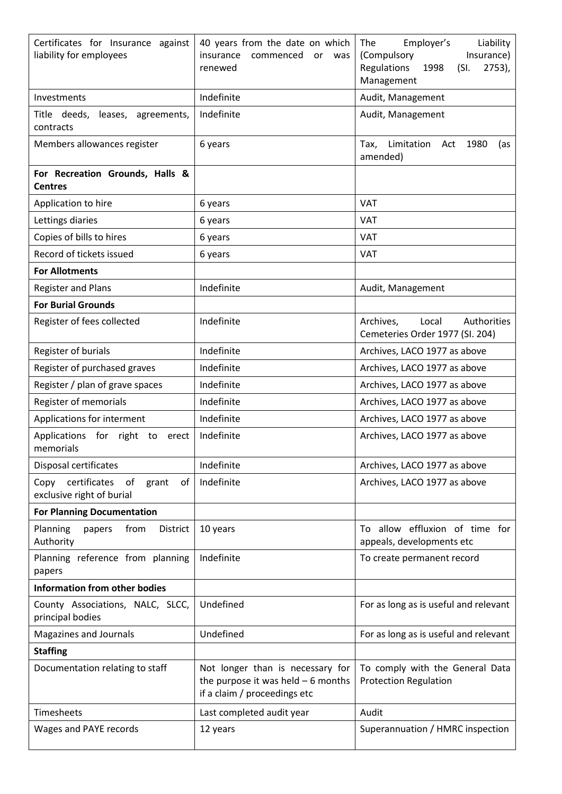| Certificates for Insurance against<br>liability for employees       | 40 years from the date on which<br>insurance commenced<br><b>or</b><br>was<br>renewed                   | Employer's<br>The<br>Liability<br>Insurance)<br>(Compulsory<br>Regulations<br>1998<br>$2753)$ ,<br>(SI)<br>Management |  |
|---------------------------------------------------------------------|---------------------------------------------------------------------------------------------------------|-----------------------------------------------------------------------------------------------------------------------|--|
| Investments                                                         | Indefinite                                                                                              | Audit, Management                                                                                                     |  |
| Title deeds,<br>leases, agreements,<br>contracts                    | Indefinite                                                                                              | Audit, Management                                                                                                     |  |
| Members allowances register                                         | 6 years                                                                                                 | Limitation<br>Tax,<br>1980<br>Act<br>(as<br>amended)                                                                  |  |
| For Recreation Grounds, Halls &<br><b>Centres</b>                   |                                                                                                         |                                                                                                                       |  |
| Application to hire                                                 | 6 years                                                                                                 | <b>VAT</b>                                                                                                            |  |
| Lettings diaries                                                    | 6 years                                                                                                 | <b>VAT</b>                                                                                                            |  |
| Copies of bills to hires                                            | 6 years                                                                                                 | <b>VAT</b>                                                                                                            |  |
| Record of tickets issued                                            | 6 years                                                                                                 | <b>VAT</b>                                                                                                            |  |
| <b>For Allotments</b>                                               |                                                                                                         |                                                                                                                       |  |
| <b>Register and Plans</b>                                           | Indefinite                                                                                              | Audit, Management                                                                                                     |  |
| <b>For Burial Grounds</b>                                           |                                                                                                         |                                                                                                                       |  |
| Register of fees collected                                          | Indefinite                                                                                              | Authorities<br>Archives,<br>Local<br>Cemeteries Order 1977 (SI. 204)                                                  |  |
| Register of burials                                                 | Indefinite                                                                                              | Archives, LACO 1977 as above                                                                                          |  |
| Register of purchased graves                                        | Indefinite                                                                                              | Archives, LACO 1977 as above                                                                                          |  |
| Register / plan of grave spaces                                     | Indefinite                                                                                              | Archives, LACO 1977 as above                                                                                          |  |
| Register of memorials                                               | Indefinite                                                                                              | Archives, LACO 1977 as above                                                                                          |  |
| Applications for interment                                          | Indefinite                                                                                              | Archives, LACO 1977 as above                                                                                          |  |
| Applications<br>for<br>right to<br>erect<br>memorials               | Indefinite                                                                                              | Archives, LACO 1977 as above                                                                                          |  |
| Disposal certificates                                               | Indefinite                                                                                              | Archives, LACO 1977 as above                                                                                          |  |
| Copy certificates<br>of<br>of<br>grant<br>exclusive right of burial | Indefinite                                                                                              | Archives, LACO 1977 as above                                                                                          |  |
| <b>For Planning Documentation</b>                                   |                                                                                                         |                                                                                                                       |  |
| Planning<br>from<br>papers<br><b>District</b><br>Authority          | 10 years                                                                                                | To allow effluxion of time for<br>appeals, developments etc                                                           |  |
| Planning reference from planning<br>papers                          | Indefinite                                                                                              | To create permanent record                                                                                            |  |
| <b>Information from other bodies</b>                                |                                                                                                         |                                                                                                                       |  |
| County Associations, NALC, SLCC,<br>principal bodies                | Undefined                                                                                               | For as long as is useful and relevant                                                                                 |  |
| Magazines and Journals                                              | Undefined                                                                                               | For as long as is useful and relevant                                                                                 |  |
| <b>Staffing</b>                                                     |                                                                                                         |                                                                                                                       |  |
| Documentation relating to staff                                     | Not longer than is necessary for<br>the purpose it was held $-6$ months<br>if a claim / proceedings etc | To comply with the General Data<br><b>Protection Regulation</b>                                                       |  |
| Timesheets                                                          | Last completed audit year                                                                               | Audit                                                                                                                 |  |
| Wages and PAYE records                                              | 12 years                                                                                                | Superannuation / HMRC inspection                                                                                      |  |